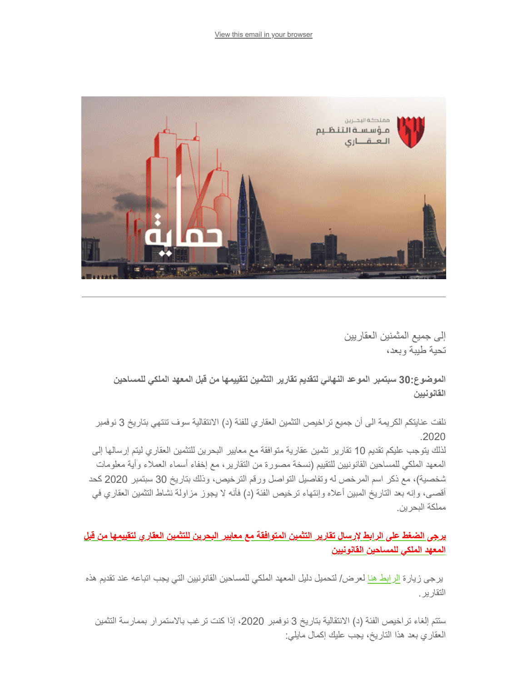

إلى جمیع المثمنین العقاریین تحیة طیبة وبعد،

**الموضوع30: سبتمبر الموعد النھائي لتقدیم تقاریر التثمین لتقییمھا من قبل المعھد الملكي للمساحین القانونیین**

نلفت عنایتكم الكریمة الى أن جمیع تراخیص التثمین العقاري للفئة (د) الانتقالیة سوف تنتھي بتاریخ 3 نوفمبر .2020

لذلك یتوجب علیكم تقدیم 10 تقاریر تثمین عقاریة متوافقة مع معاییر البحرین للتثمین العقاري لیتم إرسالھا إلى المعھد الملكي للمساحین القانونیین للتقییم (نسخة مصورة من التقاریر، مع إخفاء أسماء العملاء وأیة معلومات شخصیة)، مع ذكر اسم المرخص لھ وتفاصیل التواصل ورقم الترخیص، وذلك بتاریخ 30 سبتمبر 2020 كحد أقصى، وإنھ بعد التاریخ المبین أعلاه وإنتھاء ترخیص الفئة (د) فأنھ لا یجوز مزاولة نشاط التثمین العقاري في مملكة البحرین.

**[یرجى الضغط على الرابط لإرسال تقاریر التثمین المتوافقة مع معاییر البحرین للتثمین العقاري لتقییمھا من قبل](https://airtable.com/shrQs1GJjWB4MMDBR?utm_source=Audience-06-August-2020&utm_campaign=f5aeadd39d-CAMPAIGN_GULF+PROPERTY_SHOW_COPY_01&utm_medium=email&utm_term=0_972d228ac5-f5aeadd39d-%5BLIST_EMAIL_ID%5D&ct=t%28CAMPAIGN_GULF+PROPERTY_SHOW_COPY_01%29) المعھد الملكي للمساحین القانونیین**

 یرجى زیارة [الرابط ھنا](https://www.rera.gov.bh/Media/downloads/valuers/Valuation-Reports-submissions-Requirements-for-RICS-Assessments-20200914.pdf?utm_source=Audience-06-August-2020&utm_campaign=f5aeadd39d-CAMPAIGN_GULF+PROPERTY_SHOW_COPY_01&utm_medium=email&utm_term=0_972d228ac5-f5aeadd39d-%5BLIST_EMAIL_ID%5D&ct=t%28CAMPAIGN_GULF+PROPERTY_SHOW_COPY_01%29) لعرض/ لتحمیل دلیل المعھد الملكي للمساحین القانونیین التي یجب اتباعھ عند تقدیم ھذه التقاریر.

ستتم إلغاء تراخیص الفئة (د) الانتقالیة بتاریخ 3 نوفمبر ،2020 إذا كنت ترغب بالاستمرار بممارسة التثمین العقاري بعد ھذا التاریخ، یجب علیك إكمال مایلي: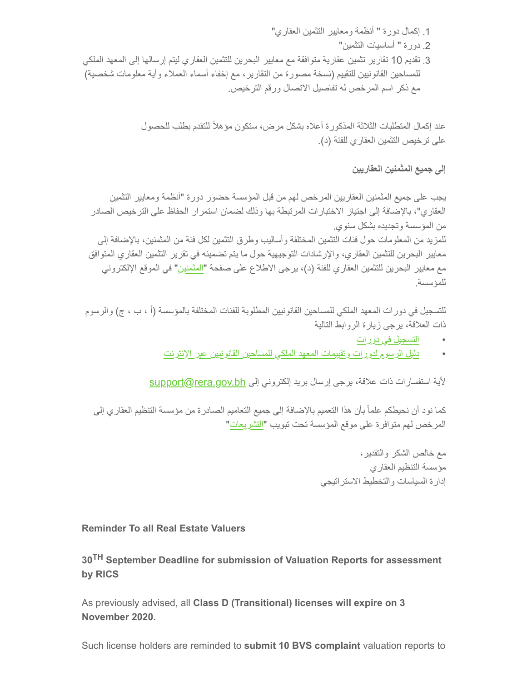.1 إكمال دورة " أنظمة ومعاییر التثمین العقاري"

.2 دورة " أساسیات التثمین"

.3 تقدیم 10 تقاریر تثمین عقاریة متوافقة مع معاییر البحرین للتثمین العقاري لیتم إرسالھا إلى المعھد الملكي للمساحین القانونیین للتقییم (نسخة مصورة من التقاریر، مع إخفاء أسماء العملاء وأیة معلومات شخصیة) مع ذكر اسم المرخص لھ تفاصیل الاتصال ورقم الترخیص.

> عند إكمال المتطلبات الثلاثة المذكورة أعلاه بشكل مرض، ستكون مؤھلاً للتقدم بطلب للحصول على ترخیص التثمین العقاري للفئة (د).

> > **إلى جمیع المثمنین العقاریین**

یجب على جمیع المثمنین العقاریین المرخص لھم من قبل المؤسسة حضور دورة "أنظمة ومعاییر التثمین العقاري"، بالإضافة إلى اجتیاز الاختبارات المرتبطة بھا وذلك لضمان استمرار الحفاظ على الترخیص الصادر من المؤسسة وتجدیده بشكل سنوي. للمزید من المعلومات حول فئات التثمین المختلفة وأسالیب وطرق التثمین لكل فئة من المثمنین، بالإضافة إلى

معاییر البحرین للتثمین العقاري، والإرشادات التوجیھیة حول ما یتم تضمینھ في تقریر التثمین العقاري المتوافق مع معاییر البحرین للتثمین العقاري للفئة (د)، یرجى الاطلاع على صفحة "[المثمنین](https://www.rera.gov.bh/en/category/valuers?utm_source=Audience-06-August-2020&utm_campaign=f5aeadd39d-CAMPAIGN_GULF+PROPERTY_SHOW_COPY_01&utm_medium=email&utm_term=0_972d228ac5-f5aeadd39d-%5BLIST_EMAIL_ID%5D&ct=t%28CAMPAIGN_GULF+PROPERTY_SHOW_COPY_01%29)" في الموقع الإلكتروني للمؤسسة.

للتسجیل في دورات المعھد الملكي للمساحین القانونیین المطلوبة للفئات المختلفة بالمؤسسة (أ ، ب ، ج) والرسوم ذات العلاقة، یرجى زیارة الروابط التالیة

- [التسجیل في دورات](https://academy.rics.org/distance-learning?f%5B0%5D=field_primary_category%3A374&f%5B1%5D=field_secondary_category%3A82&utm_source=Audience-06-August-2020&utm_campaign=f5aeadd39d-CAMPAIGN_GULF+PROPERTY_SHOW_COPY_01&utm_medium=email&utm_term=0_972d228ac5-f5aeadd39d-%5BLIST_EMAIL_ID%5D&ct=t%28CAMPAIGN_GULF+PROPERTY_SHOW_COPY_01%29)
- [دلیل الرسوم لدورات وتقییمات المعھد الملكي للمساحین القانونیین عبر الإنترنت](https://www.rera.gov.bh/Media/downloads/valuers/RICS-Fee-Guide-Valuation-Progression-20200914.pdf?utm_source=Audience-06-August-2020&utm_campaign=f5aeadd39d-CAMPAIGN_GULF+PROPERTY_SHOW_COPY_01&utm_medium=email&utm_term=0_972d228ac5-f5aeadd39d-%5BLIST_EMAIL_ID%5D&ct=t%28CAMPAIGN_GULF+PROPERTY_SHOW_COPY_01%29)

لأیة استفسارات ذات علاقة، برجى إرسال برید إلكتروني إلى support@rera.gov.bh

كما نود أن نحیطكم علماً بأن ھذا التعمیم بالإضافة إلى جمیع التعامیم الصادرة من مؤسسة التنظیم العقاري إلى المرخص لھم متوافرة على موقع المؤسسة تحت تبویب "[التشریعات](https://www.rera.gov.bh/category/regulations?utm_source=Audience-06-August-2020&utm_campaign=f5aeadd39d-CAMPAIGN_GULF+PROPERTY_SHOW_COPY_01&utm_medium=email&utm_term=0_972d228ac5-f5aeadd39d-%5BLIST_EMAIL_ID%5D&ct=t%28CAMPAIGN_GULF+PROPERTY_SHOW_COPY_01%29)"

> مع خالص الشكر والتقدیر، مؤسسة التنظیم العقاري إدارة السیاسات والتخطیط الاستراتیجي

**Reminder To all Real Estate Valuers** 

**30TH September Deadline for submission of Valuation Reports for assessment by RICS** 

As previously advised, all **Class D (Transitional) licenses will expire on 3 November 2020.**

Such license holders are reminded to **submit 10 BVS complaint** valuation reports to